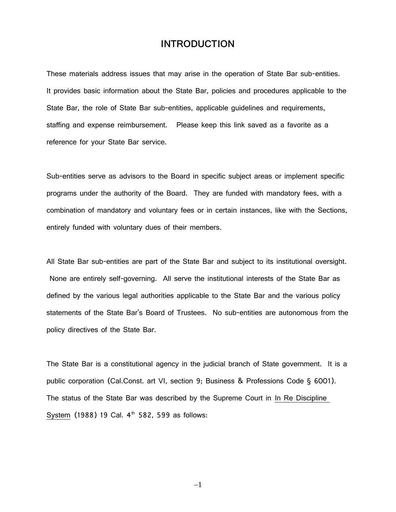## **INTRODUCTION**

These materials address issues that may arise in the operation of State Bar sub-entities. It provides basic information about the State Bar, policies and procedures applicable to the State Bar, the role of State Bar sub-entities, applicable guidelines and requirements, staffing and expense reimbursement. Please keep this link saved as a favorite as a reference for your State Bar service.

Sub-entities serve as advisors to the Board in specific subject areas or implement specific programs under the authority of the Board. They are funded with mandatory fees, with a combination of mandatory and voluntary fees or in certain instances, like with the Sections, entirely funded with voluntary dues of their members.

All State Bar sub-entities are part of the State Bar and subject to its institutional oversight. None are entirely self-governing. All serve the institutional interests of the State Bar as defined by the various legal authorities applicable to the State Bar and the various policy statements of the State Bar's Board of Trustees. No sub-entities are autonomous from the policy directives of the State Bar.

The State Bar is a constitutional agency in the judicial branch of State government. It is a public corporation (Cal.Const. art VI, section 9; Business & Professions Code § 6001). The status of the State Bar was described by the Supreme Court in In Re Discipline S<u>ystem</u> (1988) 19 Cal. 4<sup>th</sup> 582, 599 as follows:

−1